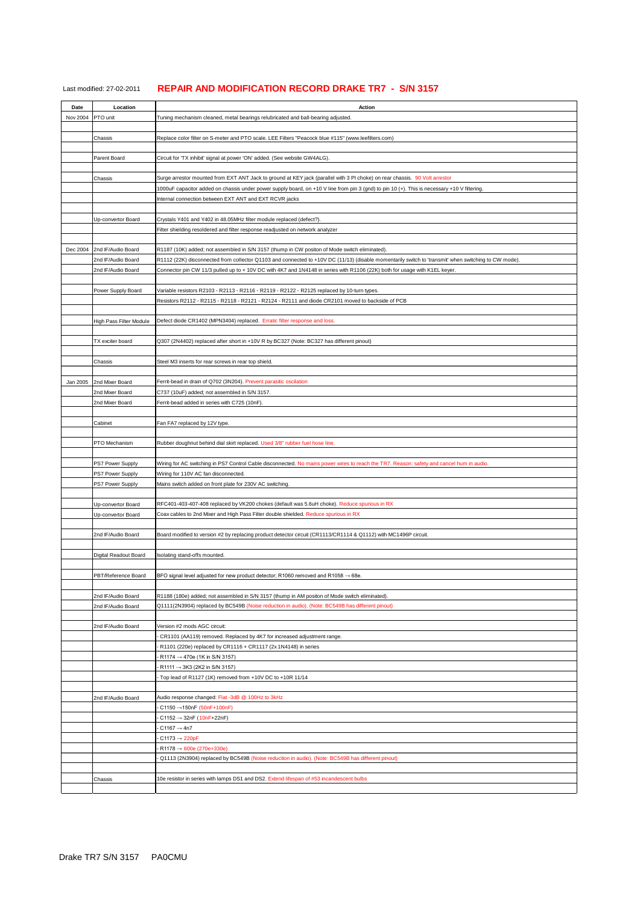| Last modified: 27-02-2011 | <b>REPAIR AND MODIFICATION RECORD DRAKE TR7 - S/N 3157</b> |  |
|---------------------------|------------------------------------------------------------|--|
|---------------------------|------------------------------------------------------------|--|

| Date     | Location                | Action                                                                                                                                                 |
|----------|-------------------------|--------------------------------------------------------------------------------------------------------------------------------------------------------|
| Nov 2004 | PTO unit                | Tuning mechanism cleaned, metal bearings relubricated and ball-bearing adjusted.                                                                       |
|          |                         |                                                                                                                                                        |
|          | Chassis                 | Replace color filter on S-meter and PTO scale. LEE Filters "Peacock blue #115" (www.leefilters.com)                                                    |
|          |                         |                                                                                                                                                        |
|          | Parent Board            | Circuit for 'TX inhibit' signal at power 'ON' added. (See website GW4ALG).                                                                             |
|          |                         |                                                                                                                                                        |
|          | Chassis                 | Surge arrestor mounted from EXT ANT Jack to ground at KEY jack (parallel with 3 PI choke) on rear chassis. 90 Volt arrestor                            |
|          |                         | 1000uF capacitor added on chassis under power supply board, on +10 V line from pin 3 (gnd) to pin 10 (+). This is necessary +10 V filtering.           |
|          |                         | Internal connection between EXT ANT and EXT RCVR jacks                                                                                                 |
|          |                         |                                                                                                                                                        |
|          | Up-convertor Board      | Crystals Y401 and Y402 in 48.05MHz filter module replaced (defect?).<br>Filter shielding resoldered and filter response readjusted on network analyzer |
|          |                         |                                                                                                                                                        |
| Dec 2004 | 2nd IF/Audio Board      | R1187 (10K) added; not assembled in S/N 3157 (thump in CW positon of Mode switch eliminated).                                                          |
|          | 2nd IF/Audio Board      | R1112 (22K) disconnected from collector Q1103 and connected to +10V DC (11/13) (disable momentarily switch to 'transmit' when switching to CW mode).   |
|          | 2nd IF/Audio Board      | Connector pin CW 11/3 pulled up to + 10V DC with 4K7 and 1N4148 in series with R1106 (22K) both for usage with K1EL keyer.                             |
|          |                         |                                                                                                                                                        |
|          | Power Supply Board      | Variable resistors R2103 - R2113 - R2116 - R2119 - R2122 - R2125 replaced by 10-turn types.                                                            |
|          |                         | Resistors R2112 - R2115 - R2118 - R2121 - R2124 - R2111 and diode CR2101 moved to backside of PCB                                                      |
|          |                         |                                                                                                                                                        |
|          | High Pass Filter Module | Defect diode CR1402 (MPN3404) replaced. Erratic filter response and loss.                                                                              |
|          |                         |                                                                                                                                                        |
|          | TX exciter board        | Q307 (2N4402) replaced after short in +10V R by BC327 (Note: BC327 has different pinout)                                                               |
|          |                         |                                                                                                                                                        |
|          | Chassis                 | Steel M3 inserts for rear screws in rear top shield.                                                                                                   |
| Jan 2005 | 2nd Mixer Board         | Ferrit-bead in drain of Q702 (3N204). Prevent parasitic oscilation                                                                                     |
|          | 2nd Mixer Board         | C737 (10uF) added; not assembled in S/N 3157.                                                                                                          |
|          | 2nd Mixer Board         | Ferrit-bead added in series with C725 (10nF).                                                                                                          |
|          |                         |                                                                                                                                                        |
|          | Cabinet                 | Fan FA7 replaced by 12V type.                                                                                                                          |
|          |                         |                                                                                                                                                        |
|          | PTO Mechanism           | Rubber doughnut behind dial skirt replaced. Used 3/8" rubber fuel hose line.                                                                           |
|          |                         |                                                                                                                                                        |
|          | PS7 Power Supply        | Wiring for AC switching in PS7 Control Cable disconnected. No mains power wires to reach the TR7. Reason: safety and cancel hum in audio.              |
|          | PS7 Power Supply        | Wiring for 110V AC fan disconnected.                                                                                                                   |
|          | PS7 Power Supply        | Mains switch added on front plate for 230V AC switching.                                                                                               |
|          |                         |                                                                                                                                                        |
|          | Up-convertor Board      | RFC401-403-407-408 replaced by VK200 chokes (default was 5.6uH choke). Reduce spurious in RX                                                           |
|          | Up-convertor Board      | Coax cables to 2nd Mixer and High Pass Filter double shielded. Reduce spurious in RX                                                                   |
|          | 2nd IF/Audio Board      | Board modified to version #2 by replacing product detector circuit (CR1113/CR1114 & Q1112) with MC1496P circuit.                                       |
|          |                         |                                                                                                                                                        |
|          | Digital Readout Board   | Isolating stand-offs mounted.                                                                                                                          |
|          |                         |                                                                                                                                                        |
|          | PBT/Reference Board     | BFO signal level adjusted for new product detector; R1060 removed and R1058 → 68e.                                                                     |
|          |                         |                                                                                                                                                        |
|          | 2nd IF/Audio Board      | R1188 (180e) added; not assembled in S/N 3157 (thump in AM positon of Mode switch eliminated).                                                         |
|          | 2nd IF/Audio Board      | Q1111(2N3904) replaced by BC549B (Noise reduction in audio). (Note: BC549B has different pinout)                                                       |
|          |                         |                                                                                                                                                        |
|          | 2nd IF/Audio Board      | Version #2 mods AGC circuit:                                                                                                                           |
|          |                         | CR1101 (AA119) removed. Replaced by 4K7 for increased adjustment range.                                                                                |
|          |                         | R1101 (220e) replaced by CR1116 + CR1117 (2x 1N4148) in series                                                                                         |
|          |                         | R1174 $\rightarrow$ 470e (1K in S/N 3157)                                                                                                              |
|          |                         | R1111 $\rightarrow$ 3K3 (2K2 in S/N 3157)<br>Top lead of R1127 (1K) removed from +10V DC to +10R 11/14                                                 |
|          |                         |                                                                                                                                                        |
|          | 2nd IF/Audio Board      | Audio response changed: Flat -3dB @ 100Hz to 3kHz                                                                                                      |
|          |                         | C1150 → 150nF (50nF+100nF)                                                                                                                             |
|          |                         | $C1152 \rightarrow 32nF (10nF+22nF)$                                                                                                                   |
|          |                         | $C1167 \rightarrow 4n7$                                                                                                                                |
|          |                         | $C1173 \rightarrow 220pF$                                                                                                                              |
|          |                         | R1178 → 600e (270e+330e)                                                                                                                               |
|          |                         | Q1113 (2N3904) replaced by BC549B (Noise reduction in audio). (Note: BC549B has different pinout)                                                      |
|          |                         |                                                                                                                                                        |
|          | Chassis                 | 10e resistor in series with lamps DS1 and DS2. Extend lifespan of #53 incandescent bulbs                                                               |
|          |                         |                                                                                                                                                        |